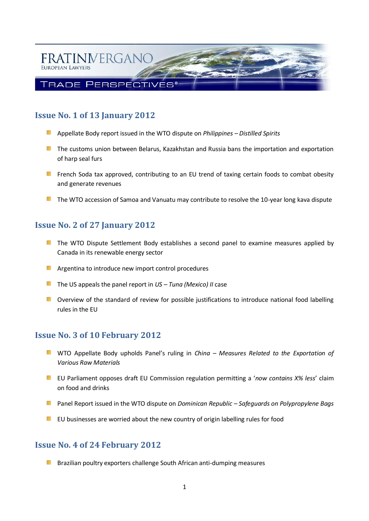

# **Issue No. 1 of 13 January 2012**

- Appellate Body report issued in the WTO dispute on *Philippines – Distilled Spirits*
- **The customs union between Belarus, Kazakhstan and Russia bans the importation and exportation** of harp seal furs
- **EX** French Soda tax approved, contributing to an EU trend of taxing certain foods to combat obesity and generate revenues
- $\blacksquare$  The WTO accession of Samoa and Vanuatu may contribute to resolve the 10-year long kava dispute

# **Issue No. 2 of 27 January 2012**

- **The WTO Dispute Settlement Body establishes a second panel to examine measures applied by** Canada in its renewable energy sector
- **Argentina to introduce new import control procedures**
- The US appeals the panel report in *US – Tuna (Mexico) II* case
- **D** Overview of the standard of review for possible justifications to introduce national food labelling rules in the EU

## **Issue No. 3 of 10 February 2012**

- 額 WTO Appellate Body upholds Panel's ruling in *China – Measures Related to the Exportation of Various Raw Materials*
- EU Parliament opposes draft EU Commission regulation permitting a '*now contains X% less*' claim on food and drinks
- Panel Report issued in the WTO dispute on *Dominican Republic – Safeguards on Polypropylene Bags*
- $E$  EU businesses are worried about the new country of origin labelling rules for food

## **Issue No. 4 of 24 February 2012**

ng i Brazilian poultry exporters challenge South African anti-dumping measures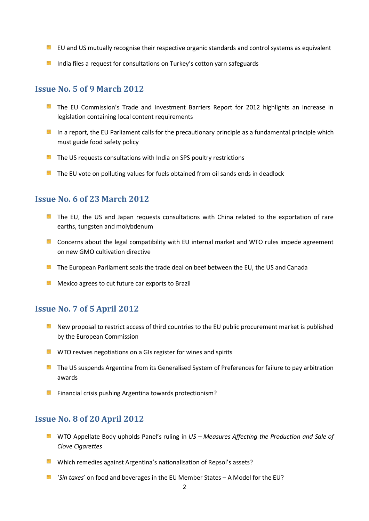- **EU** and US mutually recognise their respective organic standards and control systems as equivalent
- **India files a request for consultations on Turkey's cotton yarn safeguards**

#### **Issue No. 5 of 9 March 2012**

- **The EU Commission's Trade and Investment Barriers Report for 2012 highlights an increase in** legislation containing local content requirements
- In a report, the EU Parliament calls for the precautionary principle as a fundamental principle which must guide food safety policy
- $F$  The US requests consultations with India on SPS poultry restrictions
- $\blacksquare$  The EU vote on polluting values for fuels obtained from oil sands ends in deadlock

#### **Issue No. 6 of 23 March 2012**

- **The EU, the US and Japan requests consultations with China related to the exportation of rare** earths, tungsten and molybdenum
- **E** Concerns about the legal compatibility with EU internal market and WTO rules impede agreement on new GMO cultivation directive
- **The European Parliament seals the trade deal on beef between the EU, the US and Canada**
- **Mexico agrees to cut future car exports to Brazil**

#### **Issue No. 7 of 5 April 2012**

- n an a New proposal to restrict access of third countries to the EU public procurement market is published by the European Commission
- **WITO revives negotiations on a GIs register for wines and spirits**
- **The US suspends Argentina from its Generalised System of Preferences for failure to pay arbitration** awards
- **Financial crisis pushing Argentina towards protectionism?**

#### **Issue No. 8 of 20 April 2012**

- WTO Appellate Body upholds Panel's ruling in *US – Measures Affecting the Production and Sale of Clove Cigarettes*
- **M** Which remedies against Argentina's nationalisation of Repsol's assets?
- '*Sin taxes*' on food and beverages in the EU Member States A Model for the EU?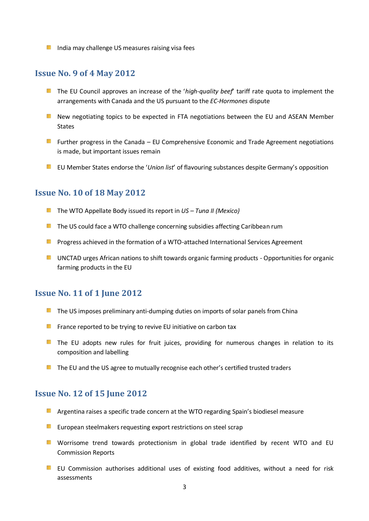**ID** India may challenge US measures raising visa fees

#### **Issue No. 9 of 4 May 2012**

- **The EU Council approves an increase of the 'high-quality beef' tariff rate quota to implement the** arrangements with Canada and the US pursuant to the *EC-Hormones* dispute
- **Now negotiating topics to be expected in FTA negotiations between the EU and ASEAN Member** States
- **Further progress in the Canada EU Comprehensive Economic and Trade Agreement negotiations** is made, but important issues remain
- EU Member States endorse the '*Union list*' of flavouring substances despite Germany's opposition

#### **Issue No. 10 of 18 May 2012**

- The WTO Appellate Body issued its report in *US – Tuna II (Mexico)*
- $F$  The US could face a WTO challenge concerning subsidies affecting Caribbean rum
- **Progress achieved in the formation of a WTO-attached International Services Agreement**
- **EXECUTAD UNCTAD urges African nations to shift towards organic farming products Opportunities for organic** farming products in the EU

#### **Issue No. 11 of 1 June 2012**

- $\blacksquare$  The US imposes preliminary anti-dumping duties on imports of solar panels from China
- $F$  France reported to be trying to revive EU initiative on carbon tax
- **The EU adopts new rules for fruit juices, providing for numerous changes in relation to its** composition and labelling
- $\blacksquare$  The EU and the US agree to mutually recognise each other's certified trusted traders

#### **Issue No. 12 of 15 June 2012**

- **A** Argentina raises a specific trade concern at the WTO regarding Spain's biodiesel measure
- **EU** European steelmakers requesting export restrictions on steel scrap
- **E** Worrisome trend towards protectionism in global trade identified by recent WTO and EU Commission Reports
- **EU** Commission authorises additional uses of existing food additives, without a need for risk assessments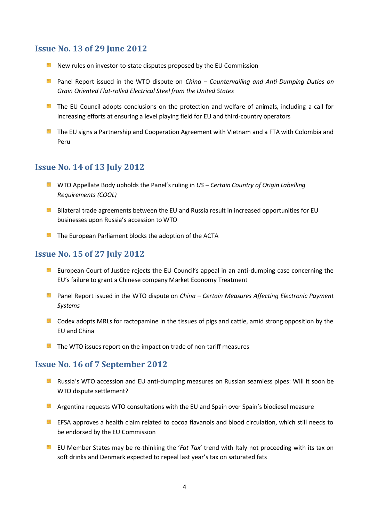## **Issue No. 13 of 29 June 2012**

- **New rules on investor-to-state disputes proposed by the EU Commission**
- **Panel Report issued in the WTO dispute on** *China Countervailing and Anti-Dumping Duties on Grain Oriented Flat-rolled Electrical Steel from the United States*
- **The EU Council adopts conclusions on the protection and welfare of animals, including a call for** increasing efforts at ensuring a level playing field for EU and third-country operators
- **The EU signs a Partnership and Cooperation Agreement with Vietnam and a FTA with Colombia and** Peru

# **Issue No. 14 of 13 July 2012**

- **E** WTO Appellate Body upholds the Panel's ruling in US Certain Country of Origin Labelling *Requirements (COOL)*
- **Bilateral trade agreements between the EU and Russia result in increased opportunities for EU** businesses upon Russia's accession to WTO
- **The European Parliament blocks the adoption of the ACTA**

# **Issue No. 15 of 27 July 2012**

- **EU European Court of Justice rejects the EU Council's appeal in an anti-dumping case concerning the** EU's failure to grant a Chinese company Market Economy Treatment
- **Panel Report issued in the WTO dispute on** *China Certain Measures Affecting Electronic Payment Systems*
- $\blacksquare$  Codex adopts MRLs for ractopamine in the tissues of pigs and cattle, amid strong opposition by the EU and China
- $\blacksquare$  The WTO issues report on the impact on trade of non-tariff measures

## **Issue No. 16 of 7 September 2012**

- **Russia's WTO accession and EU anti-dumping measures on Russian seamless pipes: Will it soon be** WTO dispute settlement?
- **A** Argentina requests WTO consultations with the EU and Spain over Spain's biodiesel measure
- EFSA approves a health claim related to cocoa flavanols and blood circulation, which still needs to be endorsed by the EU Commission
- **EU** EU Member States may be re-thinking the '*Fat Tax*' trend with Italy not proceeding with its tax on soft drinks and Denmark expected to repeal last year's tax on saturated fats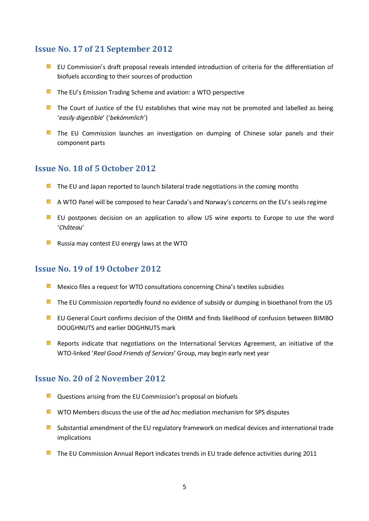# **Issue No. 17 of 21 September 2012**

- **EU** Commission's draft proposal reveals intended introduction of criteria for the differentiation of biofuels according to their sources of production
- **The EU's Emission Trading Scheme and aviation: a WTO perspective**
- **The Court of Justice of the EU establishes that wine may not be promoted and labelled as being** '*easily digestible*' ('*bekömmlich*')
- **The EU Commission launches an investigation on dumping of Chinese solar panels and their** component parts

## **Issue No. 18 of 5 October 2012**

- $F$  The EU and Japan reported to launch bilateral trade negotiations in the coming months
- **A WTO Panel will be composed to hear Canada's and Norway's concerns on the EU's seals regime**
- **EU** EU postpones decision on an application to allow US wine exports to Europe to use the word '*Château*'
- **Russia may contest EU energy laws at the WTO**

# **Issue No. 19 of 19 October 2012**

- **Mexico files a request for WTO consultations concerning China's textiles subsidies**
- The EU Commission reportedly found no evidence of subsidy or dumping in bioethanol from the US
- **EU** General Court confirms decision of the OHIM and finds likelihood of confusion between BIMBO DOUGHNUTS and earlier DOGHNUTS mark
- **Reports indicate that negotiations on the International Services Agreement, an initiative of the** WTO-linked '*Real Good Friends of Services*' Group, may begin early next year

## **Issue No. 20 of 2 November 2012**

- $\blacksquare$  Questions arising from the EU Commission's proposal on biofuels
- **WITO Members discuss the use of the** *ad hoc* **mediation mechanism for SPS disputes**
- Substantial amendment of the EU regulatory framework on medical devices and international trade **SCELL** implications
- **The EU Commission Annual Report indicates trends in EU trade defence activities during 2011**